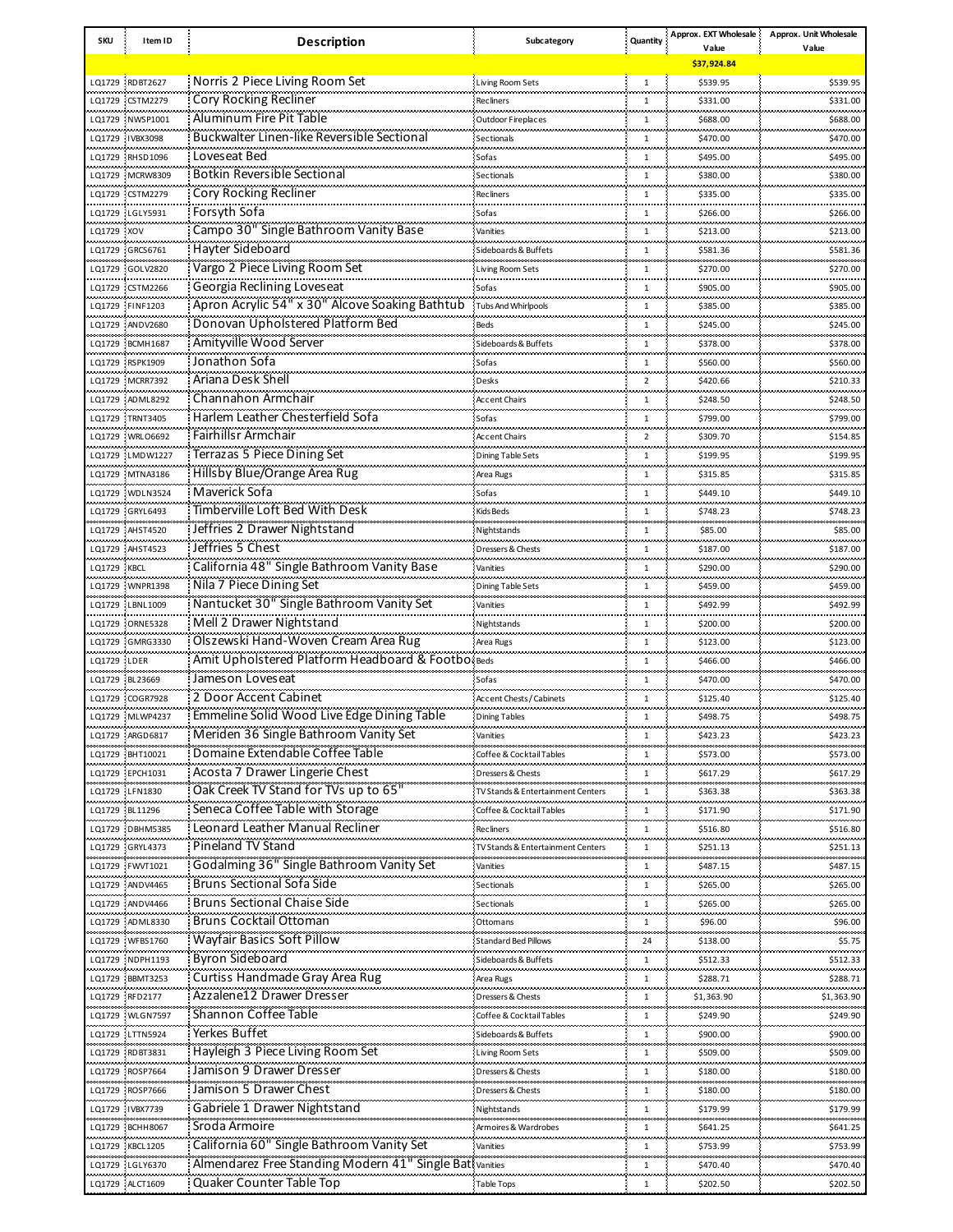| SKU                      | Item ID                              | <b>Description</b>                                      | Subcategory                       | Quantity       | Approx. EXT Wholesale | Approx. Unit Wholesale        |
|--------------------------|--------------------------------------|---------------------------------------------------------|-----------------------------------|----------------|-----------------------|-------------------------------|
|                          |                                      |                                                         |                                   |                | Value<br>\$37,924.84  | Value                         |
|                          |                                      |                                                         |                                   |                |                       |                               |
|                          | LQ1729 RDBT2627                      | Norris 2 Piece Living Room Set                          | Living Room Sets<br>              | 1              | \$539.95              | \$539.95<br>.                 |
|                          | LQ1729 CSTM2279                      | Cory Rocking Recliner                                   | <b>Recliners</b>                  | 1              | \$331.00              | \$331.00                      |
|                          | LQ1729 NWSP1001                      | Aluminum Fire Pit Table                                 | Outdoor Fireplaces                | $\mathbf{1}$   | \$688.00              | \$688.00                      |
|                          | LQ1729 IVBX3098                      | Buckwalter Linen-like Reversible Sectional              | Sectionals                        | $\mathbf{1}$   | \$470.00              | \$470.00                      |
|                          | LQ1729 RHSD1096                      | Loveseat Bed                                            | Sofas                             | $\mathbf{1}$   | \$495.00              | \$495.00                      |
|                          | LQ1729 MCRW8309                      | Botkin Reversible Sectional                             | Sectionals                        | $\mathbf{1}$   | \$380.00              | \$380.00                      |
|                          | LQ1729 CSTM2279                      | Cory Rocking Recliner                                   | <b>Recliners</b>                  | $\mathbf{1}$   | \$335.00              | \$335.00                      |
|                          | LO1729 LGLY5931                      | Forsyth Sofa                                            | Sofas                             | 1              | \$266.00              | \$266.00                      |
| LQ1729 XOV               |                                      | Campo 30" Single Bathroom Vanity Base                   | Vanities                          | $\mathbf{1}$   | \$213.00              | \$213.00                      |
|                          | LQ1729 GRCS6761                      | Hayter Sideboard                                        | Sideboards & Buffets              | 1              | \$581.36              | \$581.36                      |
|                          |                                      | Vargo 2 Piece Living Room Set                           |                                   |                |                       |                               |
|                          | LQ1729 GOLV2820                      |                                                         | <b>Living Room Sets</b>           | $\mathbf{1}$   | \$270.00              | \$270.00                      |
|                          | LQ1729 CSTM2266                      | Georgia Reclining Loveseat                              | Sofas                             | 1              | \$905.00              | \$905.00                      |
|                          | LQ1729 FINF1203                      | Apron Acrylic 54" x 30" Alcove Soaking Bathtub          | Tubs And Whirlpools               | $\mathbf{1}$   | \$385.00              | \$385.00                      |
|                          | LQ1729 ANDV2680                      | Donovan Upholstered Platform Bed                        | Beds                              | 1              | \$245.00              | \$245.00                      |
|                          | LQ1729 BCMH1687                      | Amityville Wood Server                                  | Sideboards & Buffets<br>.         | $\mathbf{1}$   | \$378.00              | \$378.00<br>                  |
|                          | LQ1729 RSPK1909                      | Jonathon Sofa                                           | Sofas                             | $\mathbf{1}$   | \$560.00              | \$560.00                      |
|                          | LQ1729 MCRR7392                      | Ariana Desk Shell                                       | Desks                             | $\overline{2}$ | \$420.66              | \$210.33                      |
|                          | LQ1729 ADML8292                      | Channahon Armchair                                      | <b>Accent Chairs</b>              | $\mathbf{1}$   | \$248.50              | <br>\$248.50                  |
|                          | LQ1729 TRNT3405                      | Harlem Leather Chesterfield Sofa                        | Sofas                             | $\mathbf{1}$   | \$799.00              | \$799.00                      |
|                          |                                      | <b>Fairhillsr Armchair</b>                              |                                   |                |                       |                               |
|                          | LQ1729 WRLO6692                      |                                                         | <b>Accent Chairs</b>              | $\overline{2}$ | \$309.70              | \$154.85                      |
|                          | LQ1729 LMDW1227                      | Terrazas 5 Piece Dining Set                             | <b>Dining Table Sets</b>          | $\mathbf{1}$   | \$199.95              | \$199.95                      |
|                          | LQ1729 MTNA3186                      | <b>Hillsby Blue/Orange Area Rug</b>                     | Area Rugs                         | $\mathbf{1}$   | \$315.85              | \$315.85                      |
|                          | LQ1729 WDLN3524                      | Maverick Sofa                                           | Sofas                             | $\mathbf{1}$   | \$449.10              | \$449.10                      |
|                          | LQ1729 GRYL6493                      | Timberville Loft Bed With Desk                          | <b>Kids Beds</b>                  | 1              | \$748.23              | \$748.23                      |
|                          | LQ1729 AHST4520                      | Jeffries 2 Drawer Nightstand                            | Nightstands                       | $\overline{1}$ | \$85.00               | .<br>\$85.00                  |
|                          | LQ1729 AHST4523                      | Jeffries 5 Chest                                        | Dressers & Chests                 | $\mathbf{1}$   | \$187.00              | بالمحادث والمحادة<br>\$187.00 |
| .                        |                                      | California 48" Single Bathroom Vanity Base              |                                   | $\overline{1}$ |                       |                               |
| LQ1729 KBCL<br>والمستحدث |                                      | Nila 7 Piece Dining Set                                 | Vanities                          |                | \$290.00              | \$290.00<br>محمد محمد مد      |
|                          | LQ1729 WNPR1398                      |                                                         | Dining Table Sets                 | $\mathbf{1}$   | \$459.00              | \$459.00                      |
|                          | LQ1729 LBNL1009                      | Nantucket 30" Single Bathroom Vanity Set                | Vanities                          | $\overline{1}$ | \$492.99              | \$492.99<br>بالمحادث والمحادث |
|                          | LQ1729 ORNE5328                      | Mell 2 Drawer Nightstand                                | Nightstands                       | $\mathbf{1}$   | \$200.00              | \$200.00                      |
|                          | LQ1729 GMRG3330                      | Olszewski Hand-Woven Cream Area Rug                     | Area Rugs                         | $\overline{1}$ | \$123.00              | \$123.00<br>بالمحادث والمحادث |
| LO1729 LDER              |                                      | Amit Upholstered Platform Headboard & Footbo Beds       |                                   | 1              | \$466.00              | \$466.00                      |
|                          | LQ1729 BL23669                       | Jameson Loveseat                                        | Sofas                             | $\mathbf{1}$   | \$470.00              | \$470.00                      |
|                          | LQ1729 COGR7928                      | 2 Door Accent Cabinet                                   | <b>Accent Chests / Cabinets</b>   | $\mathbf{1}$   | \$125.40              | \$125.40                      |
|                          | LQ1729 MLWP4237                      | Emmeline Solid Wood Live Edge Dining Table              | <b>Dining Tables</b>              | 1              | \$498.75              | \$498.75                      |
|                          | LQ1729 ARGD6817                      | Meriden 36 Single Bathroom Vanity Set                   | Vanities                          | $1\,$          | \$423.23              | \$423.23                      |
|                          |                                      | Domaine Extendable Coffee Table                         |                                   |                |                       |                               |
|                          | LQ1729 BHT10021                      |                                                         | Coffee & Cocktail Tables          | $\mathbf{1}$   | \$573.00              | \$573.00<br>ومعادوه ومعاد     |
|                          | LQ1729 EPCH1031                      | Acosta 7 Drawer Lingerie Chest                          | Dressers & Chests                 | $\mathbf{1}$   | \$617.29              | \$617.29<br>.                 |
| .                        | LQ1729 LFN1830                       | Oak Creek TV Stand for TVs up to 65'                    | TV Stands & Entertainment Centers | $\mathbf{1}$   | \$363.38              | \$363.38<br>.                 |
|                          | LQ1729 BL11296                       | Seneca Coffee Table with Storage                        | Coffee & Cocktail Tables          | $\mathbf{1}$   | \$171.90              | \$171.90<br>                  |
|                          | LQ1729 DBHM5385                      | Leonard Leather Manual Recliner                         | <b>Recliners</b>                  | 1              | \$516.80              | \$516.80                      |
| .                        | LQ1729 GRYL4373                      | Pineland TV Stand                                       | TV Stands & Entertainment Centers | $\mathbf{1}$   | \$251.13              | محمد محمد مد<br>\$251.13      |
|                          | LO1729 FWVT1021                      | Godalming 36" Single Bathroom Vanity Set                | Vanities                          | $\mathbf{1}$   | \$487.15              | .<br>\$487.15                 |
| ومعتبدته                 | بالمحادث والمحادث<br>LQ1729 ANDV4465 | <b>Bruns Sectional Sofa Side</b>                        | Sectionals                        | 1              | \$265.00              | محمد محمد مد<br>\$265.00      |
|                          | LO1729 ANDV4466                      | <b>Bruns Sectional Chaise Side</b>                      |                                   | $\mathbf{1}$   | \$265.00              | .<br>\$265.00                 |
| بالمحادث والمحادث        |                                      |                                                         | Sectionals                        |                |                       | بالمحاملات                    |
|                          | LQ1729 ADML8330                      | <b>Bruns Cocktail Ottoman</b>                           | Ottomans                          | 1              | \$96.00               | \$96.00<br>.                  |
|                          | LQ1729 WFBS1760                      | Wayfair Basics Soft Pillow                              | <b>Standard Bed Pillows</b>       | 24             | \$138.00              | \$5.75<br>مستنبذ              |
|                          | LQ1729 NDPH1193                      | <b>Byron Sideboard</b>                                  | Sideboards & Buffets              | 1              | \$512.33              | \$512.33                      |
|                          | LQ1729 BBMT3253                      | Curtiss Handmade Gray Area Rug                          | Area Rugs                         | $\mathbf{1}$   | \$288.71              | \$288.71                      |
|                          | LQ1729 RFD2177                       | Azzalene12 Drawer Dresser                               | Dressers & Chests                 | $\mathbf{1}$   | \$1,363.90            | محمد محمده<br>\$1,363.90      |
|                          | LQ1729 WLGN7597                      | Shannon Coffee Table                                    | Coffee & Cocktail Tables          | $\mathbf{1}$   | \$249.90              | \$249.90                      |
|                          | LQ1729 LTTN5924                      | Yerkes Buffet                                           | Sideboards & Buffets              | $\mathbf{1}$   | \$900.00              | \$900.00                      |
|                          |                                      | Hayleigh 3 Piece Living Room Set                        |                                   | $\mathbf{1}$   |                       | \$509.00                      |
|                          | LQ1729 RDBT3831                      | Jamison 9 Drawer Dresser                                | Living Room Sets                  |                | \$509.00              |                               |
|                          | LQ1729 ROSP7664                      |                                                         | Dressers & Chests                 | $\mathbf{1}$   | \$180.00              | \$180.00                      |
| ,,,,,,,,,,,,             | LQ1729 ROSP7666                      | Jamison 5 Drawer Chest                                  | Dressers & Chests                 | $\mathbf{1}$   | \$180.00              | \$180.00                      |
|                          | LQ1729 IVBX7739                      | Gabriele 1 Drawer Nightstand                            | Nightstands                       | $\mathbf{1}$   | \$179.99              | \$179.99<br>                  |
|                          | LQ1729 BCHH8067                      | Sroda Armoire                                           | Armoires & Wardrobes              | $\mathbf{1}$   | \$641.25              | \$641.25                      |
| ,,,,,,,,,,,              | LQ1729 KBCL1205                      | California 60" Single Bathroom Vanity Set               | Vanities                          | $\mathbf{1}$   | \$753.99              | محمد محمد مد<br>\$753.99      |
|                          | LQ1729 LGLY6370                      | Almendarez Free Standing Modern 41" Single Bat Vanities |                                   | $\mathbf{1}$   | \$470.40              | <br>\$470.40                  |
|                          | LQ1729 ALCT1609                      | Quaker Counter Table Top                                | <b>Table Tops</b>                 | 1              | \$202.50              | \$202.50                      |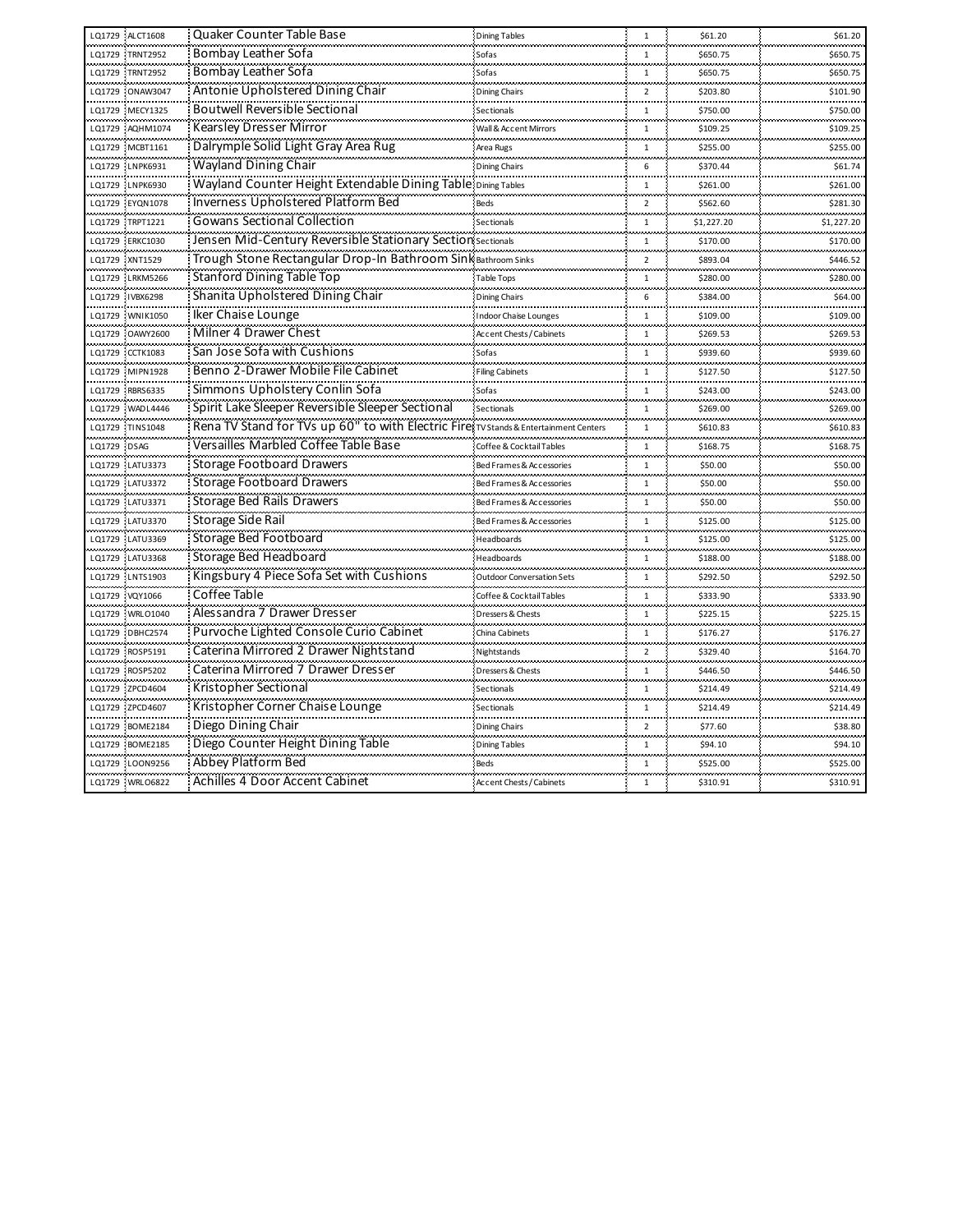| LQ1729 ALCT1608                                                         | Quaker Counter Table Base                                                           | <b>Dining Tables</b>             | $\mathbf{1}$     | \$61.20                       | \$61.20                |
|-------------------------------------------------------------------------|-------------------------------------------------------------------------------------|----------------------------------|------------------|-------------------------------|------------------------|
| LQ1729 TRNT2952                                                         | Bombay Leather Sofa                                                                 | Sofas                            |                  | \$650.75                      | \$650.75               |
| LO1729 TRNT2952                                                         | Bombay Leather Sofa                                                                 | Sofas                            | $\mathbf{1}$     | \$650.75<br>.                 | \$650.75<br>           |
| LQ1729 ONAW3047                                                         | Antonie Upholstered Dining Chair                                                    | Dining Chairs                    | $\overline{2}$   | \$203.80                      | \$101.90               |
| LQ1729 MECY1325                                                         | <b>Boutwell Reversible Sectional</b>                                                | Sectionals                       | $\mathbf{1}$     | محاملته متعاد<br>\$750.00     | بالمحامدات<br>\$750.00 |
| LQ1729 AQHM1074                                                         | Kearsley Dresser Mirror                                                             | Wall & Accent Mirrors            | $\mathbf{1}$     | \$109.25                      | \$109.25               |
| LQ1729 MCBT1161                                                         | Dalrymple Solid Light Gray Area Rug                                                 | Area Rugs                        | $\mathbf{1}$     | \$255.00<br>.                 | \$255.00               |
| LQ1729 LNPK6931<br>فالمحام والمحاملة فالمحام المحاملة والمحاملة فالمحام | Wayland Dining Chair                                                                | <b>Dining Chairs</b>             | 6                | \$370.44<br>ستتعبث            | \$61.74                |
| LQ1729 LNPK6930<br>                                                     | Wayland Counter Height Extendable Dining Table Dining Tables                        |                                  | $\mathbf{1}$     | \$261.00                      | \$261.00<br>.          |
| LQ1729 EYQN1078                                                         | <b>Inverness Upholstered Platform Bed</b>                                           | Beds                             | $\overline{2}$   | \$562.60                      | \$281.30               |
| LQ1729 TRPT1221                                                         | Gowans Sectional Collection                                                         | Sectionals                       | $\mathbf{1}$     | \$1,227.20                    | \$1,227.20             |
| LQ1729 ERKC1030                                                         | Jensen Mid-Century Reversible Stationary Section sectionals                         |                                  | 1                | \$170.00                      | \$170.00               |
| LQ1729 XNT1529                                                          | Trough Stone Rectangular Drop-In Bathroom Sink Bathroom Sinks                       |                                  | $\overline{2}$   | \$893.04                      | \$446.52               |
| LQ1729 LRKM5266                                                         | <b>Stanford Dining Table Top</b>                                                    | Table Tops                       | $\mathbf{1}$     | \$280.00                      | \$280.00               |
| LQ1729 IVBX6298                                                         | Shanita Upholstered Dining Chair                                                    | <b>Dining Chairs</b>             | $\boldsymbol{6}$ | \$384.00                      | \$64.00<br>            |
| LQ1729 WNIK1050                                                         | Iker Chaise Lounge                                                                  | <b>Indoor Chaise Lounges</b>     | $\mathbf{1}$     | \$109.00                      | \$109.00               |
| LO1729 OAWY2600                                                         | Milner 4 Drawer Chest                                                               | <b>Accent Chests / Cabinets</b>  | $\mathbf{1}$     | \$269.53                      | \$269.53               |
| LQ1729 CCTK1083                                                         | San Jose Sofa with Cushions                                                         | Sofas                            | $\mathbf{1}$     | \$939.60                      | \$939.60               |
| LQ1729 MIPN1928                                                         | Benno 2-Drawer Mobile File Cabinet                                                  | <b>Filing Cabinets</b><br>.      | $\mathbf{1}$     | \$127.50<br>                  | \$127.50<br>           |
| LQ1729 RBRS6335                                                         | Simmons Upholstery Conlin Sofa                                                      | Sofas                            | 1                | \$243.00                      | \$243.00               |
| LQ1729 WADL4446                                                         | Spirit Lake Sleeper Reversible Sleeper Sectional                                    | Sectionals                       | $\mathbf{1}$     | \$269.00                      | \$269.00               |
| LQ1729 TINS1048<br>بمعتبر محمده                                         | Rena TV Stand for TVs up 60" to with Electric Fire TVStands & Entertainment Centers |                                  | $\mathbf{1}$     | \$610.83                      | \$610.83               |
| LQ1729 DSAG                                                             | Versailles Marbled Coffee Table Base                                                | Coffee & Cocktail Tables         | $\mathbf{1}$     | \$168.75                      | \$168.75               |
| LQ1729 LATU3373                                                         | <b>Storage Footboard Drawers</b>                                                    | Bed Frames & Accessories         | $\mathbf{1}$     | \$50.00                       | \$50.00                |
| LQ1729 LATU3372                                                         | <b>Storage Footboard Drawers</b>                                                    | Bed Frames & Accessories         | $\mathbf{1}$     | \$50.00                       | \$50.00                |
| LQ1729 LATU3371                                                         | <b>Storage Bed Rails Drawers</b>                                                    | Bed Frames & Accessories         | $\mathbf{1}$     | \$50.00                       | \$50.00<br>ستحسب       |
| LQ1729 LATU3370                                                         | Storage Side Rail                                                                   | Bed Frames & Accessories         | 1                | \$125.00                      | \$125.00               |
| LQ1729 LATU3369                                                         | Storage Bed Footboard                                                               | Headboards                       | $\mathbf 1$      | \$125.00                      | \$125.00               |
| LQ1729 LATU3368<br>والمتعادل والمحاولة والمحاولة والمحاولة والمحاولات   | <b>Storage Bed Headboard</b>                                                        | Headboards                       | $\mathbf{1}$     | \$188.00<br>لمستحدث           | \$188.00               |
| LQ1729 LNTS1903                                                         | Kingsbury 4 Piece Sofa Set with Cushions                                            | <b>Outdoor Conversation Sets</b> | $\mathbf{1}$     | \$292.50                      | \$292.50               |
| LQ1729 VQY1066                                                          | Coffee Table                                                                        | Coffee & Cocktail Tables         | $\mathbf{1}$     | \$333.90                      | \$333.90               |
| LQ1729 WRLO1040<br>والمستحدث والمستحدثات                                | Alessandra 7 Drawer Dresser                                                         | Dressers & Chests                | $\mathbf{1}$     | \$225.15<br>لمعاصرهم          | \$225.15               |
| LQ1729 DBHC2574                                                         | Purvoche Lighted Console Curio Cabinet                                              | China Cabinets                   | 1                | \$176.27                      | \$176.27               |
| LQ1729 ROSP5191                                                         | Caterina Mirrored 2 Drawer Nightstand                                               | Nightstands                      | $\mathcal{P}$    | \$329.40                      | \$164.70               |
| LQ1729 ROSP5202                                                         | Caterina Mirrored 7 Drawer Dresser                                                  | Dressers & Chests                | 1                | \$446.50                      | \$446.50               |
| LQ1729 ZPCD4604<br>بمحمد محمد مد                                        | Kristopher Sectional                                                                | Sectionals                       | $\mathbf{1}$     | \$214.49<br>للمستحدث والمتحدة | \$214.49               |
| LQ1729 ZPCD4607                                                         | Kristopher Corner Chaise Lounge                                                     | Sectionals                       | $\mathbf{1}$     | \$214.49<br>.                 | \$214.49               |
| LQ1729 BOME2184                                                         | Diego Dining Chair                                                                  | <b>Dining Chairs</b>             | $\overline{2}$   | \$77.60                       | \$38.80                |
| LQ1729 BOME2185                                                         | Diego Counter Height Dining Table                                                   | <b>Dining Tables</b>             | $\mathbf{1}$     | \$94.10                       | \$94.10                |
| LQ1729 LOON9256                                                         | Abbey Platform Bed                                                                  | Beds                             | 1                | \$525.00                      | \$525.00               |
| LQ1729 WRLO6822                                                         | Achilles 4 Door Accent Cabinet                                                      | Accent Chests / Cabinets         | $\mathbf{1}$     | \$310.91                      | \$310.91               |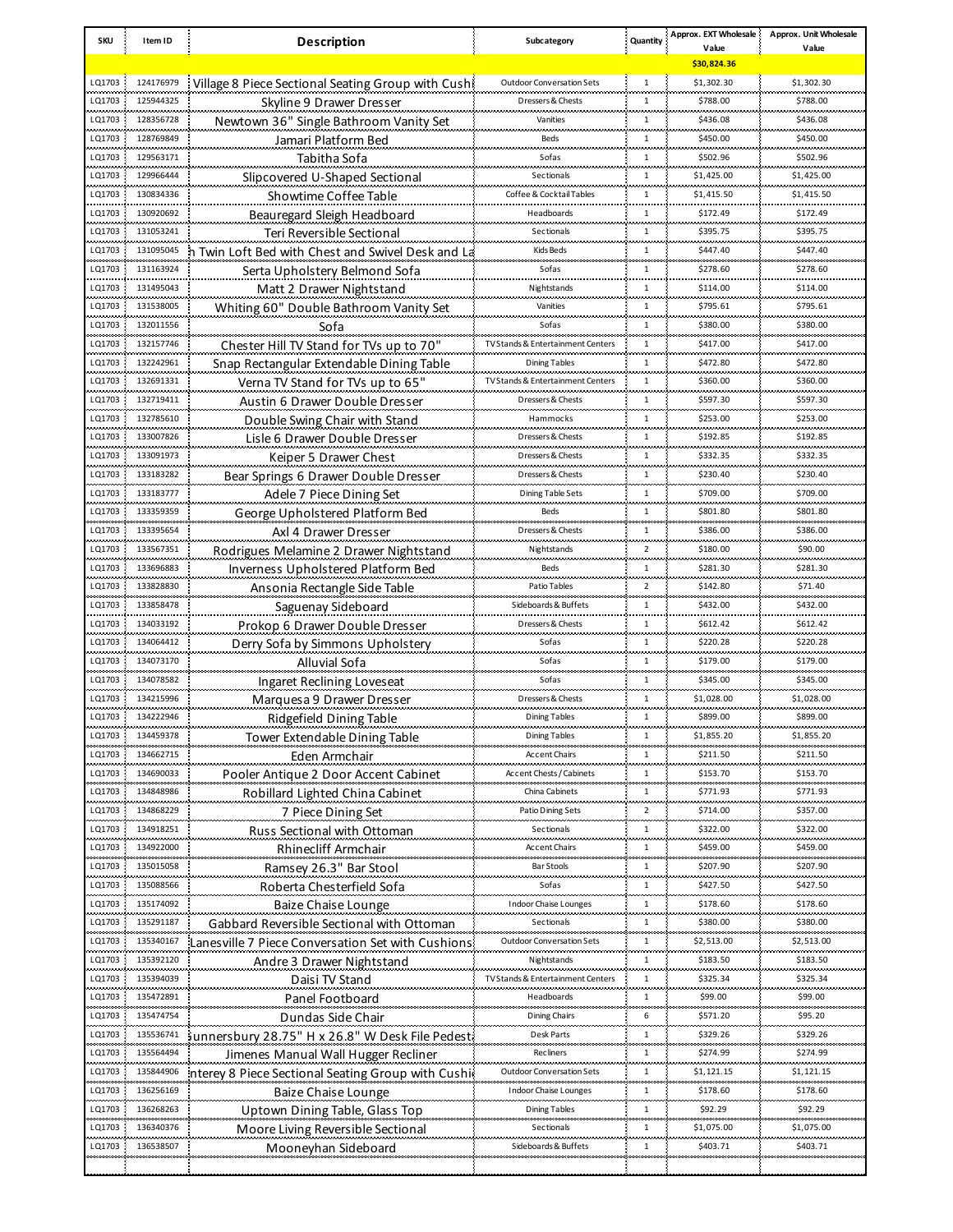| <b>SKU</b> | Item ID        | <b>Description</b>                                 | Subcategory                           | Quantity       | Approx. EXT Wholesale  | Approx. Unit Wholesale       |
|------------|----------------|----------------------------------------------------|---------------------------------------|----------------|------------------------|------------------------------|
|            |                |                                                    |                                       |                | Value<br>\$30,824.36   | Value                        |
|            |                |                                                    |                                       |                |                        |                              |
| LQ1703     | 124176979      | Village 8 Piece Sectional Seating Group with Cush  | <b>Outdoor Conversation Sets</b><br>. | $1\,$          | \$1,302.30             | \$1,302.30                   |
| LQ1703     | 125944325      | Skyline 9 Drawer Dresser                           | Dressers & Chests                     | $\mathbf{1}$   | \$788.00               | \$788.00                     |
| LQ1703     | 128356728<br>  | Newtown 36" Single Bathroom Vanity Set             | Vanities                              | $\mathbf{1}$   | \$436.08               | \$436.08                     |
| LQ1703     | 128769849      | Jamari Platform Bed                                | Beds                                  | $\mathbf{1}$   | \$450.00               | \$450.00                     |
| LQ1703     | 129563171<br>. | Tabitha Sofa                                       | Sofas                                 | $\mathbf{1}$   | \$502.96               | \$502.96                     |
| LQ1703     | 129966444      | Slipcovered U-Shaped Sectional                     | Sectionals                            | 1              | \$1,425.00             | \$1,425.00                   |
| LQ1703     | 130834336<br>. | Showtime Coffee Table                              | Coffee & Cocktail Tables<br>          | $\mathbf{1}$   | \$1,415.50             | \$1,415.50<br>               |
| LQ1703     | 130920692      | Beauregard Sleigh Headboard                        | Headboards                            | $\mathbf{1}$   | \$172.49               | \$172.49                     |
| LQ1703     | 131053241<br>. | Teri Reversible Sectional                          | Sectionals                            | 1              | \$395.75               | \$395.75                     |
| LQ1703     | 131095045      | Twin Loft Bed with Chest and Swivel Desk and La    | Kids Beds                             | $\mathbf{1}$   | \$447.40               | \$447.40                     |
| LQ1703     | 131163924<br>. | Serta Upholstery Belmond Sofa                      | Sofas                                 | 1              | \$278.60               | \$278.60<br>                 |
| LQ1703     | 131495043      | Matt 2 Drawer Nightstand                           | Nightstands                           | $\mathbf{1}$   | \$114.00               | \$114.00                     |
| LQ1703     | 131538005<br>. | Whiting 60" Double Bathroom Vanity Set             | Vanities                              | 1              | \$795.61               | \$795.61                     |
| LQ1703     | 132011556      | Sofa                                               | Sofas                                 | $\mathbf{1}$   | \$380.00               | \$380.00                     |
| LQ1703     | 132157746      | Chester Hill TV Stand for TVs up to 70"            | TV Stands & Entertainment Centers     | $\mathbf{1}$   | \$417.00               | \$417.00                     |
| LQ1703     | <br>132242961  | Snap Rectangular Extendable Dining Table           | Dining Tables                         | $\mathbf{1}$   | \$472.80               | <br>\$472.80                 |
| LQ1703     | 132691331      | Verna TV Stand for TVs up to 65"                   | TV Stands & Entertainment Centers     | $\mathbf{1}$   | \$360.00               | \$360.00                     |
| LQ1703     | .<br>132719411 | Austin 6 Drawer Double Dresser                     | Dressers & Chests                     | $\mathbf{1}$   | \$597.30               | <br>\$597.30                 |
| LQ1703     | 132785610      | Double Swing Chair with Stand                      | Hammocks                              | $\mathbf{1}$   | \$253.00               | \$253.00                     |
| LQ1703     | 133007826      | Lisle 6 Drawer Double Dresser                      | Dressers & Chests                     | $\mathbf{1}$   | \$192.85               | \$192.85                     |
| LQ1703     | 133091973      | Keiper 5 Drawer Chest                              | Dressers & Chests                     | $\mathbf{1}$   | \$332.35               | \$332.35                     |
| LQ1703     | 133183282      | Bear Springs 6 Drawer Double Dresser               | Dressers & Chests                     | $\mathbf{1}$   | \$230.40               | \$230.40                     |
| LQ1703     | 133183777      |                                                    | Dining Table Sets                     | $\mathbf{1}$   | \$709.00               | \$709.00                     |
| LQ1703     | 133359359      | Adele 7 Piece Dining Set                           | Beds                                  | $\mathbf{1}$   | \$801.80               | \$801.80                     |
|            |                | George Upholstered Platform Bed                    |                                       | $\mathbf{1}$   |                        |                              |
| LQ1703     | 133395654      | Axl 4 Drawer Dresser                               | Dressers & Chests                     |                | \$386.00               | \$386.00                     |
| LQ1703     | 133567351      | Rodrigues Melamine 2 Drawer Nightstand             | Nightstands                           | 2              | \$180.00               | \$90.00                      |
| LQ1703     | 133696883      | Inverness Upholstered Platform Bed                 | Beds                                  | $\mathbf{1}$   | \$281.30               | \$281.30<br>محمد محمد        |
| LQ1703     | 133828830      | Ansonia Rectangle Side Table                       | Patio Tables                          | $\overline{2}$ | \$142.80               | \$71.40                      |
| LQ1703     | 133858478      | Saguenay Sideboard                                 | Sideboards & Buffets                  | $\mathbf{1}$   | \$432.00               | \$432.00<br>والمحادث والمحاد |
| LQ1703     | 134033192      | Prokop 6 Drawer Double Dresser                     | Dressers & Chests                     | $\mathbf{1}$   | \$612.42               | \$612.42                     |
| LQ1703     | 134064412      | Derry Sofa by Simmons Upholstery                   | Sofas                                 | $\mathbf{1}$   | \$220.28<br>بمحمد محمد | \$220.28<br>والمحادث والمحاد |
| LQ1703     | 134073170      | <b>Alluvial Sofa</b>                               | Sofas                                 | $\mathbf{1}$   | \$179.00               | \$179.00                     |
| LQ1703     | 134078582      | Ingaret Reclining Loveseat                         | Sofas                                 | $\mathbf{1}$   | \$345.00               | \$345.00                     |
| LQ1703     | 134215996      | Marquesa 9 Drawer Dresser                          | Dressers & Chests                     | $\mathbf{1}$   | \$1,028.00             | \$1,028.00                   |
| LQ1703     | 134222946      | Ridgefield Dining Table                            | Dining Tables                         | 1              | \$899.00               | \$899.00                     |
| LQ1703     | 134459378      | <b>Tower Extendable Dining Table</b>               | Dining Tables                         | $\,1\,$        | \$1,855.20             | \$1,855.20                   |
| LQ1703     | 134662715      | Eden Armchair                                      | Accent Chairs                         | 1              | \$211.50               | \$211.50                     |
| LQ1703     | 134690033      | Pooler Antique 2 Door Accent Cabinet               | Accent Chests / Cabinets              | 1              | \$153.70               | \$153.70                     |
| LQ1703     | 134848986      | Robillard Lighted China Cabinet                    | China Cabinets                        | 1              | \$771.93               | \$771.93                     |
| LQ1703     | 134868229      | 7 Piece Dining Set                                 | Patio Dining Sets                     | $\overline{2}$ | \$714.00               | \$357.00                     |
| LQ1703     | 134918251      | Russ Sectional with Ottoman                        | Sectionals                            | 1              | \$322.00               | \$322.00                     |
| LQ1703     | 134922000      | Rhinecliff Armchair                                | Accent Chairs                         | $\mathbf{1}$   | \$459.00               | \$459.00                     |
| LQ1703     | 135015058      | Ramsey 26.3" Bar Stool                             | Bar Stools                            | 1              | \$207.90               | \$207.90                     |
| LQ1703     | 135088566      | Roberta Chesterfield Sofa                          | Sofas                                 | 1              | \$427.50               | \$427.50                     |
| LQ1703     | 135174092      | Baize Chaise Lounge                                | Indoor Chaise Lounges                 | 1              | \$178.60               | \$178.60                     |
| LQ1703     | 135291187      | Gabbard Reversible Sectional with Ottoman          | Sectionals                            | 1              | \$380.00               | \$380.00                     |
| LQ1703     | 135340167      | anesville 7 Piece Conversation Set with Cushions   | <b>Outdoor Conversation Sets</b>      | 1              | \$2,513.00             | \$2,513.00                   |
| LQ1703     | 135392120      | Andre 3 Drawer Nightstand                          | Nightstands                           | $\mathbf{1}$   | \$183.50               | \$183.50                     |
| LQ1703     | 135394039      | Daisi TV Stand                                     | TV Stands & Entertainment Centers     | 1              | \$325.34               | \$325.34                     |
| LQ1703     | 135472891      | Panel Footboard                                    | Headboards                            | $\mathbf{1}$   | \$99.00                | \$99.00                      |
| LQ1703     | 135474754      |                                                    | Dining Chairs                         | 6              | \$571.20               | \$95.20                      |
| LQ1703     |                | Dundas Side Chair                                  |                                       | 1              | \$329.26               | \$329.26                     |
|            | 135536741      | junnersbury 28.75" H x 26.8" W Desk File Pedest    | Desk Parts                            |                |                        |                              |
| LQ1703     | 135564494      | Jimenes Manual Wall Hugger Recliner                | <b>Recliners</b>                      | 1              | \$274.99               | \$274.99                     |
| LQ1703     | 135844906      | interey 8 Piece Sectional Seating Group with Cushi | Outdoor Conversation Sets             | 1              | \$1,121.15             | \$1,121.15                   |
| LQ1703     | 136256169      | <b>Baize Chaise Lounge</b>                         | <b>Indoor Chaise Lounges</b>          | 1              | \$178.60               | \$178.60                     |
| LQ1703     | 136268263      | Uptown Dining Table, Glass Top                     | Dining Tables                         | 1              | \$92.29                | \$92.29                      |
| LQ1703     | 136340376      | Moore Living Reversible Sectional                  | Sectionals                            | 1              | \$1,075.00             | \$1,075.00                   |
| LQ1703     | 136538507      | Mooneyhan Sideboard                                | Sideboards & Buffets                  | 1              | \$403.71               | \$403.71                     |
|            |                |                                                    |                                       |                |                        |                              |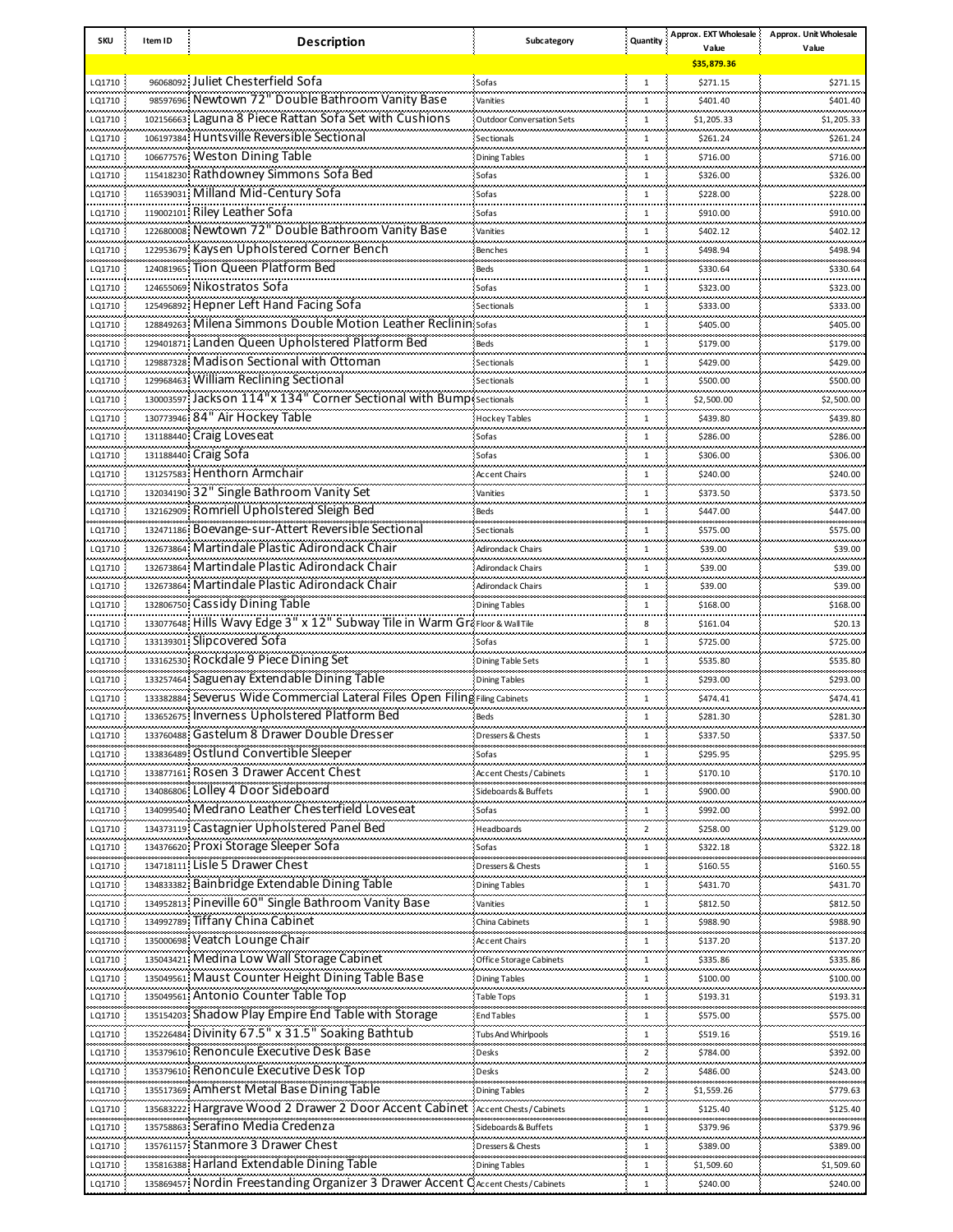| <b>SKU</b>           | Item ID | <b>Description</b>                                                              | Subcategory               | Quantity       | Approx. EXT Wholesale<br>Value | Approx. Unit Wholesale |
|----------------------|---------|---------------------------------------------------------------------------------|---------------------------|----------------|--------------------------------|------------------------|
|                      |         |                                                                                 |                           |                | \$35,879.36                    | Value                  |
| LQ1710               |         | 96068092 Juliet Chesterfield Sofa                                               | Sofas                     | $\mathbf{1}$   | \$271.15                       | \$271.15               |
| LQ1710               |         | 98597696; Newtown 72" Double Bathroom Vanity Base                               | .<br>Vanities             | $\mathbf{1}$   | \$401.40                       | \$401.40               |
| LQ1710               |         | 102156663 Laguna 8 Piece Rattan Sofa Set with Cushions                          | Outdoor Conversation Sets | $\mathbf{1}$   | \$1,205.33                     | \$1,205.33             |
| .<br>LQ1710          |         | 106197384 Huntsville Reversible Sectional                                       | Sectionals                | 1              | .<br>\$261.24                  | <br>\$261.24           |
| LQ1710               |         | 106677576 Weston Dining Table                                                   | <b>Dining Tables</b>      | $\mathbf{1}$   | \$716.00                       | \$716.00               |
| <br>LQ1710           |         | 115418230 Rathdowney Simmons Sofa Bed                                           | <br>Sofas                 | 1              | <br>\$326.00                   | <br>\$326.00           |
| LQ1710               |         | 116539031 Milland Mid-Century Sofa                                              | Sofas                     | $\mathbf{1}$   | \$228.00                       | \$228.00               |
| .<br>LQ1710          |         | 119002101 Riley Leather Sofa                                                    | 111111<br>Sofas           | 1              | <br>\$910.00                   | .<br>\$910.00          |
| LQ1710               |         | 122680008 Newtown 72" Double Bathroom Vanity Base                               | Vanities                  | $\mathbf{1}$   | \$402.12                       | \$402.12               |
| .<br>LQ1710          |         | 122953679 Kaysen Upholstered Corner Bench                                       | <br>Benches               | 1              | <br>\$498.94                   | .<br>\$498.94          |
| LQ1710               |         | 124081965 Tion Queen Platform Bed                                               | Beds                      | 1              | \$330.64                       | \$330.64               |
| .<br>LQ1710          |         | 124655069 Nikostratos Sofa                                                      | 11111<br>Sofas            | 1              | <br>\$323.00                   | .<br>\$323.00          |
| LQ1710               |         | 125496892 Hepner Left Hand Facing Sofa                                          | Sectionals                | $\mathbf{1}$   |                                | \$333.00               |
| .                    |         | 128849263 Milena Simmons Double Motion Leather Reclinin sofas                   |                           |                | \$333.00<br>.                  |                        |
| LQ1710               |         | 129401871 Landen Queen Upholstered Platform Bed                                 |                           | 1              | \$405.00                       | \$405.00               |
| LQ1710<br>.          |         | 129887328 Madison Sectional with Ottoman                                        | Beds                      | 1              | \$179.00<br>                   | \$179.00<br>           |
| LQ1710               |         | 129968463 William Reclining Sectional                                           | Sectionals                | 1              | \$429.00                       | \$429.00               |
| LQ1710<br>.          |         | 130003597 Jackson 114"x 134" Corner Sectional with Bump                         | Sectionals                | $\mathbf{1}$   | \$500.00<br>                   | \$500.00<br>           |
| LQ1710               |         | 130773946 84" Air Hockey Table                                                  | Sectionals                | 1              | \$2,500.00                     | \$2,500.00             |
| LQ1710<br>ومحاملتهما |         |                                                                                 | Hockey Tables             | 1              | \$439.80                       | \$439.80               |
| LQ1710               |         | 131188440 Craig Loveseat                                                        | Sofas                     | 1              | \$286.00                       | \$286.00               |
| LQ1710               |         | 131188440 Craig Sofa                                                            | Sofas                     | 1              | \$306.00                       | \$306.00               |
| LQ1710               |         | 131257583 Henthorn Armchair                                                     | <b>Accent Chairs</b>      | $\mathbf{1}$   | \$240.00                       | \$240.00               |
| LQ1710               |         | 132034190 32" Single Bathroom Vanity Set                                        | Vanities                  | 1              | \$373.50                       | \$373.50               |
| LQ1710               |         | 132162909 Romriell Upholstered Sleigh Bed                                       | Beds                      | 1              | \$447.00                       | \$447.00               |
| LQ1710               |         | 132471186 Boevange-sur-Attert Reversible Sectional                              | Sectionals                | 1              | \$575.00                       | \$575.00               |
| LQ1710               |         | 132673864 Martindale Plastic Adirondack Chair                                   | Adirondack Chairs         | $\mathbf{1}$   | \$39.00                        | \$39.00                |
| LQ1710               |         | 132673864 Martindale Plastic Adirondack Chair                                   | Adirondack Chairs         | 1              | \$39.00                        | \$39.00                |
| LQ1710               |         | 132673864 Martindale Plastic Adirondack Chair                                   | <b>Adirondack Chairs</b>  | $\mathbf{1}$   | \$39.00                        | \$39.00                |
| LQ1710               |         | 132806750 Cassidy Dining Table                                                  | <b>Dining Tables</b>      | 1              | \$168.00                       | \$168.00               |
| LQ1710               |         | 133077648: Hills Wavy Edge 3" x 12" Subway Tile in Warm GraFloor & Wall Tile    |                           | 8              | \$161.04                       | \$20.13                |
| LQ1710               |         | 133139301 Slipcovered Sofa                                                      | Sofas                     | 1              | \$725.00                       | \$725.00               |
| LQ1710               |         | 133162530 Rockdale 9 Piece Dining Set                                           | Dining Table Sets         | $\mathbf{1}$   | \$535.80                       | \$535.80               |
| LQ1710               |         | 133257464: Saguenay Extendable Dining Table                                     | <b>Dining Tables</b>      | $\mathbf{1}$   | \$293.00                       | \$293.00               |
| LQ1710               |         | 133382884; Severus Wide Commercial Lateral Files Open Filing Filing Cabinets    |                           | $\mathbf{1}$   | \$474.41                       | \$474.41               |
| LQ1710               |         | 133652675 Inverness Upholstered Platform Bed                                    | Beds                      | 1              | \$281.30                       | \$281.30               |
| LQ1710               |         | 133760488 Gastelum 8 Drawer Double Dresser                                      | Dressers & Chests         | $\mathbf{1}$   | \$337.50                       | \$337.50               |
| LQ1710               |         | 133836489 Ostlund Convertible Sleeper                                           | Sofas                     | 1              | \$295.95                       | \$295.95               |
| LQ1710               |         | 133877161 Rosen 3 Drawer Accent Chest                                           | Accent Chests / Cabinets  | 1              | \$170.10                       | \$170.10               |
| LQ1710               |         | 134086806 Lolley 4 Door Sideboard                                               | Sideboards & Buffets      | 1              | \$900.00                       | \$900.00               |
| LQ1710               |         | 134099540 Medrano Leather Chesterfield Loveseat                                 | Sofas                     | 1              | \$992.00                       | \$992.00               |
| LQ1710               |         | 134373119 Castagnier Upholstered Panel Bed                                      | Headboards                | $\overline{2}$ | \$258.00                       | \$129.00               |
| LQ1710               |         | 134376620 Proxi Storage Sleeper Sofa                                            | Sofas                     | 1              | \$322.18                       | \$322.18               |
| LQ1710               |         | 134718111 Lisle 5 Drawer Chest                                                  | Dressers & Chests         | 1              | \$160.55                       | \$160.55               |
| LQ1710               |         | 134833382 Bainbridge Extendable Dining Table                                    | <b>Dining Tables</b>      | 1              | \$431.70                       | \$431.70               |
| LQ1710               |         | 134952813 Pineville 60" Single Bathroom Vanity Base                             | Vanities                  | 1              | \$812.50                       | \$812.50               |
| LQ1710               |         | 134992789 Tiffany China Cabinet                                                 | China Cabinets            | 1              | \$988.90                       | \$988.90               |
| LQ1710               |         | 135000698 Veatch Lounge Chair                                                   | Accent Chairs             | 1              | \$137.20                       | \$137.20               |
| LQ1710               |         | 135043421 Medina Low Wall Storage Cabinet                                       | Office Storage Cabinets   | 1              | \$335.86                       | \$335.86               |
| LQ1710               |         | 135049561 Maust Counter Height Dining Table Base                                | <b>Dining Tables</b>      | 1              | \$100.00                       | \$100.00               |
| LQ1710               |         | 135049561 Antonio Counter Table Top                                             | Table Tops                | 1              | \$193.31                       | \$193.31               |
| LQ1710               |         | 135154203 Shadow Play Empire End Table with Storage                             | <b>End Tables</b>         | 1              | \$575.00                       | \$575.00               |
| LQ1710               |         | 135226484 Divinity 67.5" x 31.5" Soaking Bathtub                                | Tubs And Whirlpools       | 1              | \$519.16                       | \$519.16               |
| LQ1710               |         | 135379610 Renoncule Executive Desk Base                                         | Desks                     | $\overline{2}$ | \$784.00                       | \$392.00               |
| LQ1710               |         | 135379610: Renoncule Executive Desk Top                                         | Desks                     | $\overline{2}$ | \$486.00                       | \$243.00               |
| LQ1710               |         | 135517369 Amherst Metal Base Dining Table                                       | <b>Dining Tables</b>      | $\overline{2}$ | \$1,559.26                     | \$779.63               |
| LQ1710               |         | 135683222 Hargrave Wood 2 Drawer 2 Door Accent Cabinet                          | Accent Chests / Cabinets  | 1              | \$125.40                       | \$125.40               |
| LQ1710               |         | 135758863 Serafino Media Credenza                                               | Sideboards&Buffets        | 1              | \$379.96                       | \$379.96               |
| LQ1710               |         | 135761157 Stanmore 3 Drawer Chest                                               | Dressers & Chests         | 1              | \$389.00                       | \$389.00               |
|                      |         | 135816388 Harland Extendable Dining Table                                       |                           | 1              |                                |                        |
| LQ1710               |         | 135869457 Nordin Freestanding Organizer 3 Drawer Accent CAccent Chests/Cabinets | <b>Dining Tables</b>      |                | \$1,509.60                     | \$1,509.60             |
| LQ1710               |         |                                                                                 |                           | $\mathbf{1}$   | \$240.00                       | \$240.00               |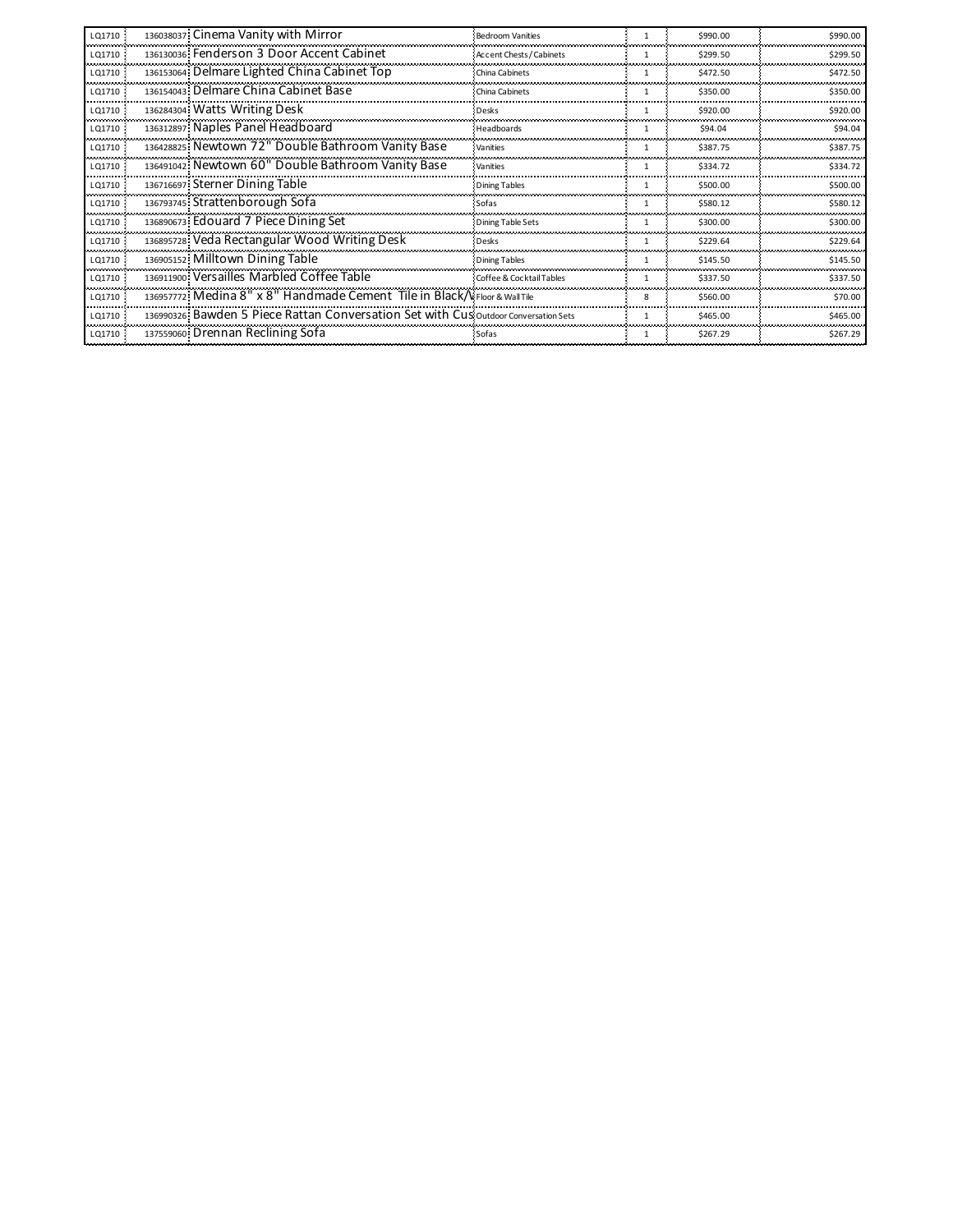| LQ1710 | 136038037 Cinema Vanity with Mirror                                                 | <b>Bedroom Vanities</b>  | -1           | \$990.00 | \$990.00 |
|--------|-------------------------------------------------------------------------------------|--------------------------|--------------|----------|----------|
| LO1710 | 136130036 Fenderson 3 Door Accent Cabinet                                           | Accent Chests / Cabinets |              | \$299.50 | \$299.50 |
| LQ1710 | 136153064 Delmare Lighted China Cabinet Top                                         | China Cabinets           |              | \$472.50 | \$472.50 |
| LQ1710 | 136154043 Delmare China Cabinet Base                                                | China Cabinets           |              | \$350.00 | \$350.00 |
| LQ1710 | 136284304 Watts Writing Desk                                                        | Desks                    |              | \$920.00 | \$920.00 |
| LQ1710 | 136312897 Naples Panel Headboard                                                    | Headboards               |              | \$94.04  | \$94.04  |
| LQ1710 | 136428825 Newtown 72" Double Bathroom Vanity Base                                   | Vanities                 | $\mathbf{1}$ | \$387.75 | \$387.75 |
| LQ1710 | 136491042 Newtown 60" Double Bathroom Vanity Base                                   | Vanities                 |              | \$334.72 | \$334.72 |
| LQ1710 | 136716697 Sterner Dining Table                                                      | <b>Dining Tables</b>     |              | \$500.00 | \$500.00 |
| LQ1710 | 136793745 Strattenborough Sofa                                                      | Sofas                    |              | \$580.12 | \$580.12 |
| LQ1710 | 136890673 Edouard 7 Piece Dining Set                                                | Dining Table Sets        | -1           | \$300.00 | \$300.00 |
| LQ1710 | 136895728 Veda Rectangular Wood Writing Desk                                        | <b>Desks</b>             |              | \$229.64 | \$229.64 |
| LQ1710 | 136905152 Milltown Dining Table                                                     | Dining Tables            |              | \$145.50 | \$145.50 |
| LQ1710 | 136911900 Versailles Marbled Coffee Table                                           | Coffee & Cocktail Tables |              | \$337.50 | \$337.50 |
| LQ1710 | 136957772 Medina 8" x 8" Handmade Cement Tile in Black/V Floor & Wall Tile          |                          | 8            | \$560.00 | \$70.00  |
| LQ1710 | 136990326 Bawden 5 Piece Rattan Conversation Set with Cus outdoor Conversation Sets |                          | $\mathbf{1}$ | \$465.00 | \$465.00 |
| LQ1710 | 137559060 Drennan Reclining Sofa                                                    | : Sofas                  | 1            | \$267.29 | \$267.29 |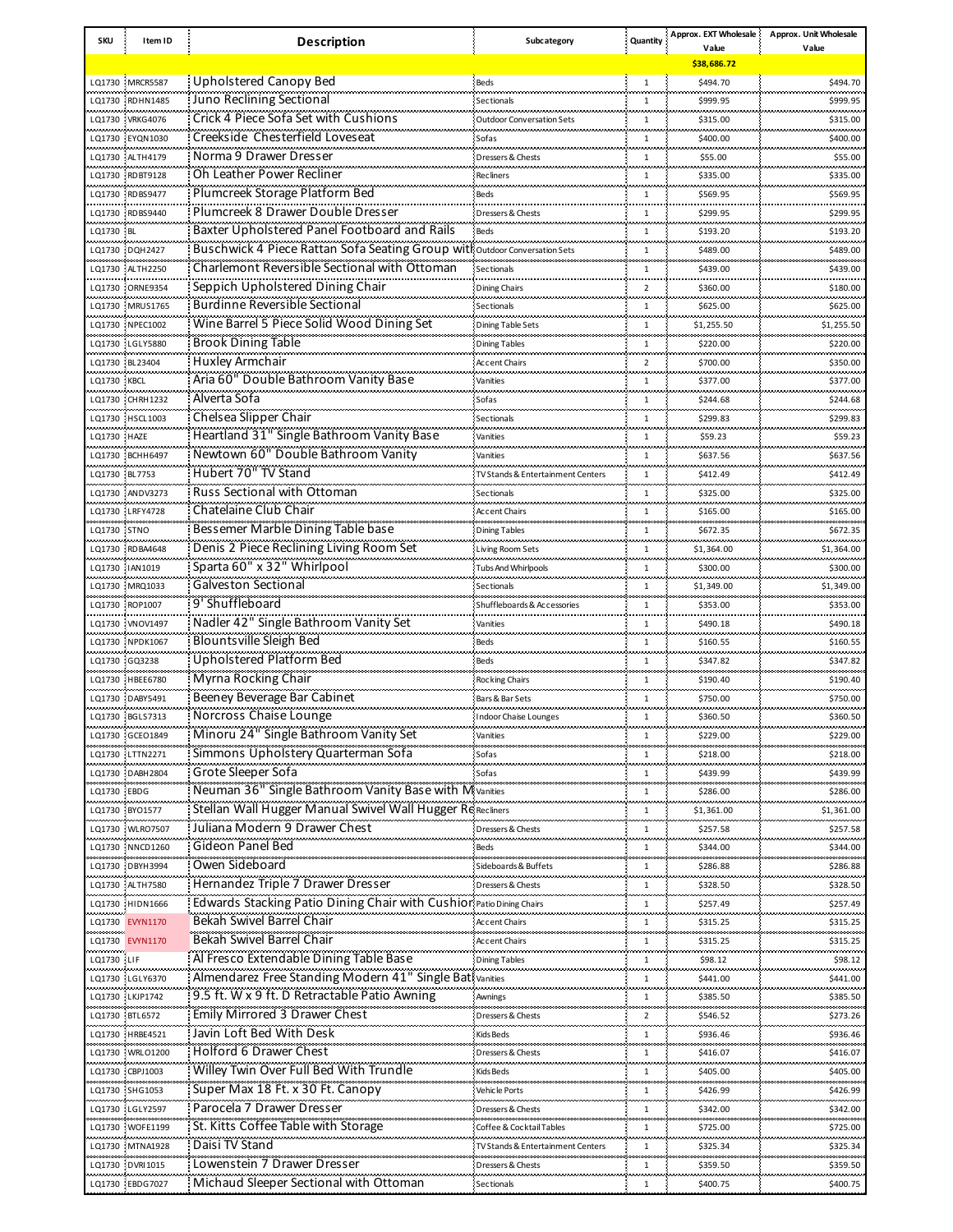| <b>SKU</b>        | Item ID                                                          | <b>Description</b>                                                         | Subcategory                                        | Quantity       | Approx. EXT Wholesale           | Approx. Unit Wholesale      |
|-------------------|------------------------------------------------------------------|----------------------------------------------------------------------------|----------------------------------------------------|----------------|---------------------------------|-----------------------------|
|                   |                                                                  |                                                                            |                                                    |                | Value<br>\$38,686.72            | Value                       |
|                   | LQ1730 MRCR5587                                                  | Upholstered Canopy Bed                                                     | Beds                                               | $\mathbf{1}$   | \$494.70                        | \$494.70                    |
|                   |                                                                  |                                                                            |                                                    |                |                                 |                             |
|                   | LQ1730 RDHN1485                                                  | Juno Reclining Sectional                                                   | Sectionals                                         | $\mathbf{1}$   | \$999.95                        | \$999.95                    |
|                   | LQ1730 VRKG4076<br>.                                             | Crick 4 Piece Sofa Set with Cushions                                       | <b>Outdoor Conversation Sets</b>                   | $\mathbf{1}$   | \$315.00                        | \$315.00<br>.               |
|                   | LQ1730 EYQN1030                                                  | Creekside Chesterfield Loveseat                                            | Sofas                                              | $\mathbf{1}$   | \$400.00                        | \$400.00                    |
|                   | LQ1730 ALTH4179<br>.                                             | Norma 9 Drawer Dresser                                                     | Dressers & Chests                                  | $\mathbf{1}$   | \$55.00                         | \$55.00<br>.                |
|                   | LQ1730 RDBT9128                                                  | Oh Leather Power Recliner                                                  | <b>Recliners</b>                                   | 1              | \$335.00                        | \$335.00                    |
|                   | LQ1730 RDBS9477                                                  | Plumcreek Storage Platform Bed                                             | Beds                                               | 1              | \$569.95                        | \$569.95                    |
|                   | LQ1730 RDBS9440                                                  | Plumcreek 8 Drawer Double Dresser                                          | Dressers & Chests                                  | $\mathbf{1}$   | \$299.95                        | .<br>\$299.95               |
| LQ1730 BL         |                                                                  | Baxter Upholstered Panel Footboard and Rails                               | Beds                                               | 1              | \$193.20                        | \$193.20                    |
| .                 | LQ1730 DQH2427                                                   | Buschwick 4 Piece Rattan Sofa Seating Group with Outdoor Conversation Sets |                                                    | $\mathbf{1}$   | .<br>\$489.00                   | .<br>\$489.00               |
|                   | LQ1730 ALTH2250                                                  | Charlemont Reversible Sectional with Ottoman                               | Sectionals                                         | $\mathbf{1}$   | \$439.00                        | \$439.00                    |
|                   | .<br>LQ1730 ORNE9354                                             | Seppich Upholstered Dining Chair                                           | <b>Dining Chairs</b>                               | $\overline{2}$ | \$360.00                        | .<br>\$180.00               |
|                   |                                                                  | <b>Burdinne Reversible Sectional</b>                                       |                                                    |                |                                 |                             |
|                   | LQ1730 MRUS1765                                                  |                                                                            | Sectionals                                         | $\mathbf{1}$   | \$625.00                        | \$625.00<br>                |
|                   | LQ1730 NPEC1002                                                  | Wine Barrel 5 Piece Solid Wood Dining Set                                  | <b>Dining Table Sets</b>                           | 1              | \$1,255.50                      | \$1,255.50                  |
|                   | LQ1730 LGLY5880<br>                                              | <b>Brook Dining Table</b>                                                  | <b>Dining Tables</b>                               | $\mathbf{1}$   | \$220.00<br>.                   | \$220.00<br>                |
|                   | LQ1730 BL23404                                                   | Huxley Armchair                                                            | <b>Accent Chairs</b>                               | $\overline{2}$ | \$700.00                        | \$350.00                    |
| LQ1730 KBCL<br>.  |                                                                  | Aria 60" Double Bathroom Vanity Base                                       | Vanities                                           | $\mathbf{1}$   | \$377.00                        | \$377.00<br>.               |
|                   | LQ1730 CHRH1232                                                  | Alverta Sofa                                                               | Sofas                                              | $\mathbf{1}$   | \$244.68                        | \$244.68                    |
|                   | LQ1730 HSCL1003                                                  | Chelsea Slipper Chair                                                      | Sectionals                                         | $\mathbf{1}$   | \$299.83                        | \$299.83                    |
| LQ1730 HAZE       |                                                                  | Heartland 31" Single Bathroom Vanity Base                                  | Vanities                                           | $\mathbf{1}$   | سيستعد<br>\$59.23               | بمحمدته<br>\$59.23          |
|                   | LQ1730 BCHH6497                                                  | Newtown 60" Double Bathroom Vanity                                         | Vanities                                           | $\mathbf{1}$   | \$637.56                        | \$637.56                    |
| LQ1730 BL7753     |                                                                  | Hubert 70" TV Stand                                                        | TV Stands & Entertainment Centers                  | 1              | \$412.49                        | محمد محمدت<br>\$412.49      |
|                   | LQ1730 ANDV3273                                                  | <b>Russ Sectional with Ottoman</b>                                         | Sectionals                                         | $\mathbf{1}$   | \$325.00                        | \$325.00                    |
|                   |                                                                  | Chatelaine Club Chair                                                      |                                                    |                |                                 |                             |
|                   | LQ1730 LRFY4728                                                  |                                                                            | <b>Accent Chairs</b>                               | $\mathbf{1}$   | \$165.00                        | \$165.00                    |
| LQ1730 STNO       |                                                                  | Bessemer Marble Dining Table base                                          | <b>Dining Tables</b>                               | $\mathbf{1}$   | \$672.35                        | \$672.35<br>محمد محمد مت    |
|                   | LQ1730 RDBA4648                                                  | Denis 2 Piece Reclining Living Room Set                                    | <b>Living Room Sets</b>                            | 1              | \$1,364.00                      | \$1,364.00                  |
|                   | LQ1730 IAN1019<br>والمحارث والمستحدث والمتحدث والمستحدث والمتحدث | Sparta 60" x 32" Whirlpool                                                 | <b>Tubs And Whirlpools</b><br>ومحمد محمد محمد محمد | $\mathbf{1}$   | \$300.00                        | \$300.00<br>,,,,,,,,,,,,    |
|                   | LQ1730 MRQ1033                                                   | <b>Galveston Sectional</b>                                                 | Sectionals                                         | $\mathbf{1}$   | \$1,349.00                      | \$1,349.00                  |
|                   | LQ1730 ROP1007                                                   | 9' Shuffleboard                                                            | Shuffleboards & Accessories                        | $\mathbf{1}$   | \$353.00                        | \$353.00                    |
|                   | LQ1730 VNOV1497                                                  | Nadler 42" Single Bathroom Vanity Set                                      | Vanities                                           | 1              | بمحرب محامد بالمحاد<br>\$490.18 | ستعصب<br>\$490.18           |
|                   | LQ1730 NPDK1067                                                  | <b>Blountsville Sleigh Bed</b>                                             | Beds                                               | 1              | \$160.55                        | \$160.55                    |
| LQ1730 GQ3238     | والمتعادل فيعتبر المتحالين والمتحدث والمتحدثات                   | <b>Upholstered Platform Bed</b>                                            | Beds                                               | 1              | بمحرب محامد بالمحاد<br>\$347.82 | ستعصب<br>\$347.82           |
|                   | LQ1730 HBEE6780                                                  | Myrna Rocking Chair                                                        | Rocking Chairs                                     | 1              | \$190.40                        | \$190.40                    |
|                   | ومحامده محامد ومحاولا ومحامد ومحامدون<br>LQ1730 DABY5491         | Beeney Beverage Bar Cabinet                                                | Bars & Bar Sets                                    | 1              | بمحرب محامد بالمحاد<br>\$750.00 | محمد محمد مد<br>\$750.00    |
|                   |                                                                  | Norcross Chaise Lounge                                                     |                                                    | 1              |                                 | \$360.50                    |
|                   | LQ1730 BGLS7313                                                  | Minoru 24" Single Bathroom Vanity Set                                      | <b>Indoor Chaise Lounges</b>                       |                | \$360.50                        |                             |
|                   | LQ1730 GCEO1849                                                  |                                                                            | Vanities                                           | 1              | \$229.00                        | \$229.00                    |
|                   | LQ1730 LTTN2271                                                  | Simmons Upholstery Quarterman Sofa                                         | Sofas                                              | 1              | \$218.00                        | \$218.00<br>المحمد المحمدات |
|                   | LQ1730 DABH2804                                                  | Grote Sleeper Sofa                                                         | Sofas                                              | $\mathbf{1}$   | \$439.99                        | \$439.99                    |
| LQ1730 EBDG<br>.  |                                                                  | Neuman 36" Single Bathroom Vanity Base with Mivanities                     |                                                    | 1              | \$286.00                        | \$286.00<br>محمد محمد مد    |
|                   | LQ1730 BYO1577                                                   | Stellan Wall Hugger Manual Swivel Wall Hugger Re Recliners                 |                                                    | 1              | \$1,361.00                      | \$1,361.00                  |
|                   | LQ1730 WLRO7507                                                  | Juliana Modern 9 Drawer Chest                                              | Dressers & Chests                                  | $\mathbf{1}$   | \$257.58                        | \$257.58                    |
|                   | LQ1730 NNCD1260                                                  | Gideon Panel Bed                                                           | Beds                                               | 1              | .<br>\$344.00                   | سيستعص<br>\$344.00          |
|                   | LQ1730 DBYH3994                                                  | Owen Sideboard                                                             | Sideboards & Buffets                               | 1              | \$286.88                        | \$286.88                    |
|                   | LQ1730 ALTH7580                                                  | Hernandez Triple 7 Drawer Dresser                                          | ومحامله والمتحدث والمتحدث<br>Dressers & Chests     | $\mathbf{1}$   | .<br>\$328.50                   | .<br>\$328.50               |
|                   | LQ1730 HIDN1666                                                  | Edwards Stacking Patio Dining Chair with Cushior Patio Dining Chairs       |                                                    | 1              | \$257.49                        | \$257.49                    |
| بالمحافظات        |                                                                  | Bekah Swivel Barrel Chair                                                  |                                                    | $\mathbf{1}$   | .                               | بمعتبدته                    |
|                   | LQ1730 EVYN1170                                                  | Bekah Swivel Barrel Chair                                                  | Accent Chairs                                      |                | \$315.25                        | \$315.25                    |
| بالمحادث والمحادث | LQ1730 EVYN1170                                                  |                                                                            | Accent Chairs<br>والمتحدث والمعادي والمعاديات      | 1              | \$315.25<br>.                   | \$315.25<br>ananana ana     |
| LQ1730 LIF        |                                                                  | Al Fresco Extendable Dining Table Base                                     | <b>Dining Tables</b>                               | $\mathbf{1}$   | \$98.12                         | \$98.12                     |
|                   | LQ1730 LGLY6370                                                  | Almendarez Free Standing Modern 41" Single Bativanities                    |                                                    | 1              | \$441.00<br>.                   | \$441.00<br>محمد محمد مد    |
|                   | LQ1730 LKJP1742                                                  | 9.5 ft. W x 9 ft. D Retractable Patio Awning                               | Awnings                                            | $\mathbf{1}$   | \$385.50                        | \$385.50                    |
|                   | LQ1730 BTL6572                                                   | Emily Mirrored 3 Drawer Chest                                              | Dressers & Chests                                  | 2              | \$546.52                        | \$273.26                    |
|                   | LQ1730 HRBE4521                                                  | Javin Loft Bed With Desk                                                   | .<br>Kids Beds                                     | 1              | .<br>\$936.46                   | بمعتبدته<br>\$936.46        |
|                   | LQ1730 WRLO1200                                                  | Holford 6 Drawer Chest                                                     | Dressers & Chests                                  | 1              | \$416.07                        | \$416.07                    |
|                   | LQ1730 CBPJ1003                                                  | Willey Twin Over Full Bed With Trundle                                     | Kids Beds                                          | 1              | .<br>\$405.00                   | محمد محمد مد<br>\$405.00    |
|                   | LQ1730 SHG1053                                                   | Super Max 18 Ft. x 30 Ft. Canopy                                           | Vehicle Ports                                      | 1              | \$426.99                        | \$426.99                    |
|                   | LQ1730 LGLY2597                                                  | Parocela 7 Drawer Dresser                                                  | Dressers & Chests                                  | $\mathbf{1}$   | \$342.00                        | .<br>\$342.00               |
|                   |                                                                  | St. Kitts Coffee Table with Storage                                        |                                                    |                |                                 |                             |
|                   | LQ1730 WOFE1199                                                  | Daisi TV Stand                                                             | Coffee & Cocktail Tables                           | 1              | \$725.00<br>,,,,,,,,,,,,,       | \$725.00<br>لمستعملتهم      |
|                   | LQ1730 MTNA1928                                                  |                                                                            | <b>TV Stands &amp; Entertainment Centers</b>       | 1              | \$325.34                        | \$325.34                    |
|                   | LQ1730 DVRI1015                                                  | Lowenstein 7 Drawer Dresser                                                | Dressers & Chests                                  | 1              | \$359.50                        | \$359.50<br>محمد محمدت      |
|                   | LQ1730 EBDG7027                                                  | Michaud Sleeper Sectional with Ottoman                                     | Sectionals                                         | 1              | \$400.75                        | \$400.75                    |